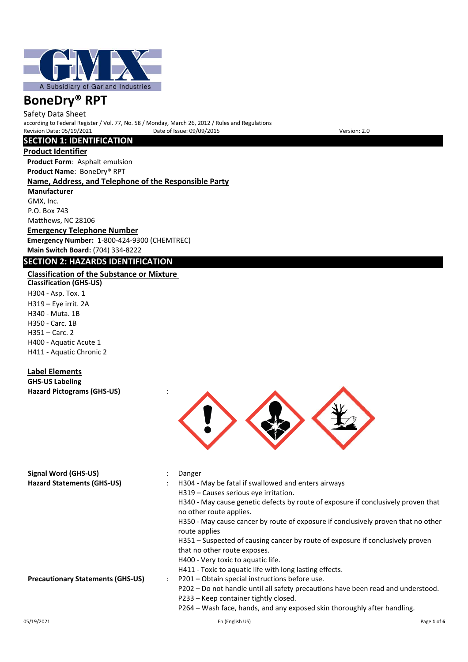

Safety Data Sheet according to Federal Register / Vol. 77, No. 58 / Monday, March 26, 2012 / Rules and Regulations Pate of Issue: 09/09/2015 Version: 2.0

## **SECTION 1: IDENTIFICATION**

**Product Identifier**

**Product Form**: Asphalt emulsion **Product Name**: BoneDry® RPT

## **Name, Address, and Telephone of the Responsible Party**

**Manufacturer** GMX, Inc. P.O. Box 743 Matthews, NC 28106

**Emergency Telephone Number Emergency Number:** 1-800-424-9300 (CHEMTREC) **Main Switch Board:** (704) 334-8222

## **SECTION 2: HAZARDS IDENTIFICATION**

## **Classification of the Substance or Mixture**

**Classification (GHS-US)** H304 - Asp. Tox. 1 H319 – Eye irrit. 2A H340 - Muta. 1B H350 - Carc. 1B H351 – Carc. 2 H400 - Aquatic Acute 1 H411 - Aquatic Chronic 2

## **Label Elements**

**GHS-US Labeling Hazard Pictograms (GHS-US)** :



| <b>Signal Word (GHS-US)</b>              | Danger                                                                                                       |
|------------------------------------------|--------------------------------------------------------------------------------------------------------------|
| <b>Hazard Statements (GHS-US)</b>        | H304 - May be fatal if swallowed and enters airways                                                          |
|                                          | H319 - Causes serious eve irritation.                                                                        |
|                                          | H340 - May cause genetic defects by route of exposure if conclusively proven that<br>no other route applies. |
|                                          | H350 - May cause cancer by route of exposure if conclusively proven that no other<br>route applies           |
|                                          | H351 – Suspected of causing cancer by route of exposure if conclusively proven                               |
|                                          | that no other route exposes.                                                                                 |
|                                          | H400 - Very toxic to aquatic life.                                                                           |
|                                          | H411 - Toxic to aquatic life with long lasting effects.                                                      |
| <b>Precautionary Statements (GHS-US)</b> | P201 – Obtain special instructions before use.                                                               |
|                                          | P202 - Do not handle until all safety precautions have been read and understood.                             |
|                                          | P233 - Keep container tightly closed.                                                                        |
|                                          | P264 - Wash face, hands, and any exposed skin thoroughly after handling.                                     |
|                                          |                                                                                                              |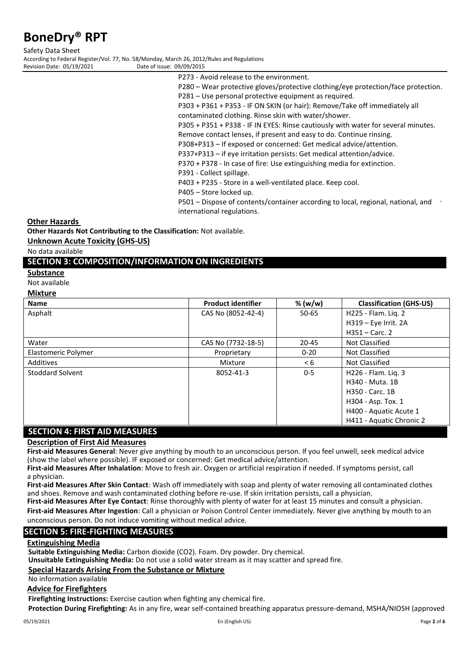Safety Data Sheet According to Federal Register/Vol. 77, No. 58/Monday, March 26, 2012/Rules and Regulations Revision Date: 05/19/2021

- P273 Avoid release to the environment.
- P280 Wear protective gloves/protective clothing/eye protection/face protection.
- P281 Use personal protective equipment as required.
- P303 + P361 + P353 IF ON SKIN (or hair): Remove/Take off immediately all

contaminated clothing. Rinse skin with water/shower.

P305 + P351 + P338 - IF IN EYES: Rinse cautiously with water for several minutes.

Remove contact lenses, if present and easy to do. Continue rinsing. P308+P313 – If exposed or concerned: Get medical advice/attention.

P337+P313 – if eye irritation persists: Get medical attention/advice.

P370 + P378 - In case of fire: Use extinguishing media for extinction.

- P391 Collect spillage.
- P403 + P235 Store in a well-ventilated place. Keep cool.
- P405 Store locked up.

P501 – Dispose of contents/container according to local, regional, national, and international regulations.

#### **Other Hazards**

**Other Hazards Not Contributing to the Classification:** Not available.

**Unknown Acute Toxicity (GHS-US)**

No data available

#### **SECTION 3: COMPOSITION/INFORMATION ON INGREDIENTS**

**Substance**

Not available

#### **Mixture**

| <b>Name</b>             | <b>Product identifier</b> | % (w/w)   | <b>Classification (GHS-US)</b> |
|-------------------------|---------------------------|-----------|--------------------------------|
| Asphalt                 | CAS No (8052-42-4)        | 50-65     | H225 - Flam. Lig. 2            |
|                         |                           |           | H319 - Eye Irrit. 2A           |
|                         |                           |           | $H351 -$ Carc. 2               |
| Water                   | CAS No (7732-18-5)        | $20 - 45$ | Not Classified                 |
| Elastomeric Polymer     | Proprietary               | $0 - 20$  | Not Classified                 |
| Additives               | Mixture                   | < 6       | Not Classified                 |
| <b>Stoddard Solvent</b> | 8052-41-3                 | $0 - 5$   | H226 - Flam. Lig. 3            |
|                         |                           |           | H340 - Muta. 1B                |
|                         |                           |           | H350 - Carc. 1B                |
|                         |                           |           | H304 - Asp. Tox. 1             |
|                         |                           |           | H400 - Aquatic Acute 1         |
|                         |                           |           | H411 - Aquatic Chronic 2       |

#### **SECTION 4: FIRST AID MEASURES**

#### **Description of First Aid Measures**

**First-aid Measures General**: Never give anything by mouth to an unconscious person. If you feel unwell, seek medical advice (show the label where possible). IF exposed or concerned: Get medical advice/attention.

**First-aid Measures After Inhalation**: Move to fresh air. Oxygen or artificial respiration if needed. If symptoms persist, call a physician.

**First-aid Measures After Skin Contact**: Wash off immediately with soap and plenty of water removing all contaminated clothes and shoes. Remove and wash contaminated clothing before re-use. If skin irritation persists, call a physician.

**First-aid Measures After Eye Contact**: Rinse thoroughly with plenty of water for at least 15 minutes and consult a physician. **First-aid Measures After Ingestion**: Call a physician or Poison Control Center immediately. Never give anything by mouth to an unconscious person. Do not induce vomiting without medical advice.

### **SECTION 5: FIRE-FIGHTING MEASURES**

#### **Extinguishing Media**

**Suitable Extinguishing Media:** Carbon dioxide (CO2). Foam. Dry powder. Dry chemical.

**Unsuitable Extinguishing Media:** Do not use a solid water stream as it may scatter and spread fire.

#### **Special Hazards Arising From the Substance or Mixture**

No information available

## **Advice for Firefighters**

**Firefighting Instructions:** Exercise caution when fighting any chemical fire.

**Protection During Firefighting:** As in any fire, wear self-contained breathing apparatus pressure-demand, MSHA/NIOSH (approved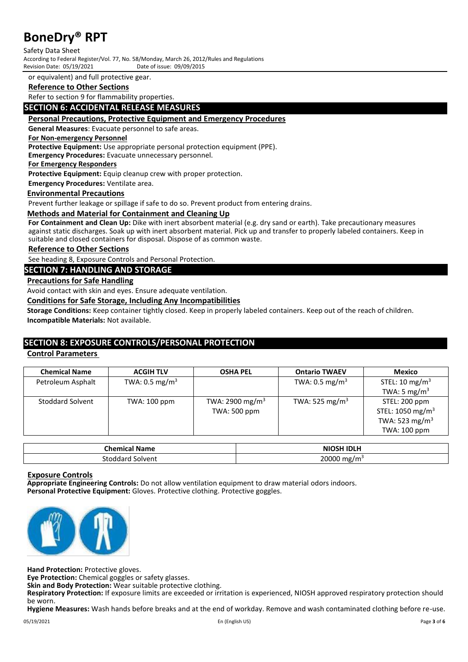Safety Data Sheet According to Federal Register/Vol. 77, No. 58/Monday, March 26, 2012/Rules and Regulations Revision Date: 05/19/2021

or equivalent) and full protective gear.

## **Reference to Other Sections**

Refer to section 9 for flammability properties.

## **SECTION 6: ACCIDENTAL RELEASE MEASURES**

#### **Personal Precautions, Protective Equipment and Emergency Procedures**

**General Measures**: Evacuate personnel to safe areas.

#### **For Non-emergency Personnel**

**Protective Equipment:** Use appropriate personal protection equipment (PPE).

**Emergency Procedures:** Evacuate unnecessary personnel.

**For Emergency Responders**

**Protective Equipment:** Equip cleanup crew with proper protection.

**Emergency Procedures:** Ventilate area.

#### **Environmental Precautions**

Prevent further leakage or spillage if safe to do so. Prevent product from entering drains.

#### **Methods and Material for Containment and Cleaning Up**

**For Containment and Clean Up:** Dike with inert absorbent material (e.g. dry sand or earth). Take precautionary measures against static discharges. Soak up with inert absorbent material. Pick up and transfer to properly labeled containers. Keep in suitable and closed containers for disposal. Dispose of as common waste.

#### **Reference to Other Sections**

See heading 8, Exposure Controls and Personal Protection.

## **SECTION 7: HANDLING AND STORAGE**

#### **Precautions for Safe Handling**

Avoid contact with skin and eyes. Ensure adequate ventilation.

#### **Conditions for Safe Storage, Including Any Incompatibilities**

**Storage Conditions:** Keep container tightly closed. Keep in properly labeled containers. Keep out of the reach of children. **Incompatible Materials:** Not available.

### **SECTION 8: EXPOSURE CONTROLS/PERSONAL PROTECTION**

### **Control Parameters**

| <b>Chemical Name</b> | <b>ACGIH TLV</b>          | <b>OSHA PEL</b>             | <b>Ontario TWAEV</b>       | Mexico                       |
|----------------------|---------------------------|-----------------------------|----------------------------|------------------------------|
| Petroleum Asphalt    | TWA: $0.5 \text{ mg/m}^3$ |                             | TWA: $0.5 \text{ mg/m}^3$  | STEL: 10 mg/m <sup>3</sup>   |
|                      |                           |                             |                            | TWA: 5 mg/m <sup>3</sup>     |
| Stoddard Solvent     | TWA: 100 ppm              | TWA: 2900 mg/m <sup>3</sup> | TWA: 525 mg/m <sup>3</sup> | STEL: 200 ppm                |
|                      |                           | TWA: 500 ppm                |                            | STEL: 1050 mg/m <sup>3</sup> |
|                      |                           |                             |                            | TWA: $523$ mg/m <sup>3</sup> |
|                      |                           |                             |                            | TWA: 100 ppm                 |

| <b>Chemica</b><br>Nam.<br>ıme | ISH IDI H<br>.<br>NI |
|-------------------------------|----------------------|
| Solvent                       | 20000                |
| — ∿™000агu –                  | ∴u mg/m              |

#### **Exposure Controls**

**Appropriate Engineering Controls:** Do not allow ventilation equipment to draw material odors indoors. **Personal Protective Equipment:** Gloves. Protective clothing. Protective goggles.



**Hand Protection:** Protective gloves.

**Eye Protection:** Chemical goggles or safety glasses.

**Skin and Body Protection:** Wear suitable protective clothing.

**Respiratory Protection:** If exposure limits are exceeded or irritation is experienced, NIOSH approved respiratory protection should be worn.

**Hygiene Measures:** Wash hands before breaks and at the end of workday. Remove and wash contaminated clothing before re-use.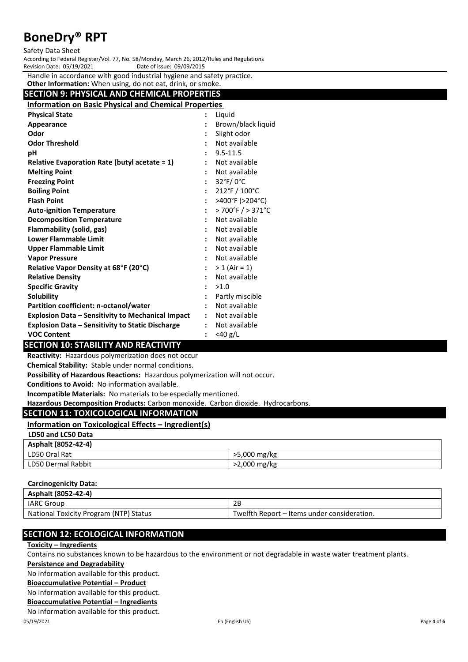Safety Data Sheet

According to Federal Register/Vol. 77, No. 58/Monday, March 26, 2012/Rules and Regulations Revision Date: 05/19/2021

Handle in accordance with good industrial hygiene and safety practice.

| C in accordance with good maastriariiygiche and sarety practice.<br>Other Information: When using, do not eat, drink, or smoke. |                |                                         |  |  |  |
|---------------------------------------------------------------------------------------------------------------------------------|----------------|-----------------------------------------|--|--|--|
| <b>SECTION 9: PHYSICAL AND CHEMICAL PROPERTIES</b>                                                                              |                |                                         |  |  |  |
| <b>Information on Basic Physical and Chemical Properties</b>                                                                    |                |                                         |  |  |  |
| <b>Physical State</b>                                                                                                           | $\ddot{\cdot}$ | Liguid                                  |  |  |  |
| Appearance                                                                                                                      |                | Brown/black liquid                      |  |  |  |
| Odor                                                                                                                            |                | Slight odor                             |  |  |  |
| <b>Odor Threshold</b>                                                                                                           |                | Not available                           |  |  |  |
| рH                                                                                                                              |                | $9.5 - 11.5$                            |  |  |  |
| Relative Evaporation Rate (butyl acetate $= 1$ )                                                                                |                | Not available                           |  |  |  |
| <b>Melting Point</b>                                                                                                            |                | Not available                           |  |  |  |
| <b>Freezing Point</b>                                                                                                           |                | $32^\circ F/0^\circ C$                  |  |  |  |
| <b>Boiling Point</b>                                                                                                            |                | 212°F / 100°C                           |  |  |  |
| <b>Flash Point</b>                                                                                                              |                | >400°F (>204°C)                         |  |  |  |
| <b>Auto-ignition Temperature</b>                                                                                                |                | $>700^{\circ}$ F $/$ > 371 $^{\circ}$ C |  |  |  |
| <b>Decomposition Temperature</b>                                                                                                |                | Not available                           |  |  |  |
| Flammability (solid, gas)                                                                                                       |                | Not available                           |  |  |  |
| <b>Lower Flammable Limit</b>                                                                                                    |                | Not available                           |  |  |  |
| <b>Upper Flammable Limit</b>                                                                                                    |                | Not available                           |  |  |  |
| <b>Vapor Pressure</b>                                                                                                           |                | Not available                           |  |  |  |
| Relative Vapor Density at 68°F (20°C)                                                                                           |                | $> 1$ (Air = 1)                         |  |  |  |
| <b>Relative Density</b>                                                                                                         |                | Not available                           |  |  |  |
| <b>Specific Gravity</b>                                                                                                         |                | >1.0                                    |  |  |  |
| Solubility                                                                                                                      |                | Partly miscible                         |  |  |  |
| Partition coefficient: n-octanol/water                                                                                          |                | Not available                           |  |  |  |
| <b>Explosion Data - Sensitivity to Mechanical Impact</b>                                                                        | $\ddot{\cdot}$ | Not available                           |  |  |  |
| <b>Explosion Data - Sensitivity to Static Discharge</b>                                                                         |                | Not available                           |  |  |  |
| <b>VOC Content</b>                                                                                                              |                | $<$ 40 g/L                              |  |  |  |

### **SECTION 10: STABILITY AND REACTIVITY**

**Reactivity:** Hazardous polymerization does not occur

**Chemical Stability:** Stable under normal conditions.

**Possibility of Hazardous Reactions:** Hazardous polymerization will not occur.

**Conditions to Avoid:** No information available.

**Incompatible Materials:** No materials to be especially mentioned.

**Hazardous Decomposition Products:** Carbon monoxide. Carbon dioxide. Hydrocarbons.

## **SECTION 11: TOXICOLOGICAL INFORMATION**

## **Information on Toxicological Effects – Ingredient(s)**

| LD50 and LC50 Data |  |  |
|--------------------|--|--|
|                    |  |  |

| Asphalt (8052-42-4) |              |
|---------------------|--------------|
| LD50 Oral Rat       | >5,000 mg/kg |
| LD50 Dermal Rabbit  | >2,000 mg/kg |

#### **Carcinogenicity Data:**

| Asphalt (8052-42-4)                    |                                             |
|----------------------------------------|---------------------------------------------|
| IARC Group                             | 2Β                                          |
| National Toxicity Program (NTP) Status | Twelfth Report – Items under consideration. |

## **SECTION 12: ECOLOGICAL INFORMATION**

#### **Toxicity – Ingredients**

Contains no substances known to be hazardous to the environment or not degradable in waste water treatment plants.

#### **Persistence and Degradability**

No information available for this product.

#### **Bioaccumulative Potential – Product**

No information available for this product.

#### **Bioaccumulative Potential – Ingredients**

No information available for this product.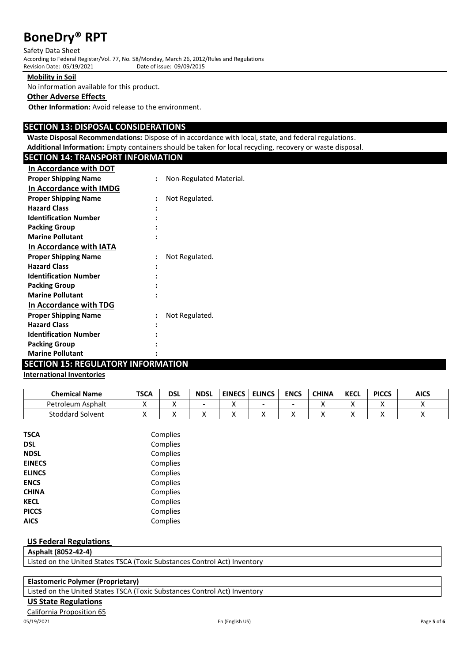Safety Data Sheet

According to Federal Register/Vol. 77, No. 58/Monday, March 26, 2012/Rules and Regulations Revision Date: 05/19/2021

**Mobility in Soil**

No information available for this product.

#### **Other Adverse Effects**

**Other Information:** Avoid release to the environment.

## **SECTION 13: DISPOSAL CONSIDERATIONS**

**Waste Disposal Recommendations:** Dispose of in accordance with local, state, and federal regulations.

| Additional Information: Empty containers should be taken for local recycling, recovery or waste disposal. |  |
|-----------------------------------------------------------------------------------------------------------|--|
|-----------------------------------------------------------------------------------------------------------|--|

| <b>SECTION 14: TRANSPORT INFORMATION</b> |                |                         |
|------------------------------------------|----------------|-------------------------|
| In Accordance with DOT                   |                |                         |
| <b>Proper Shipping Name</b>              | $\ddot{\cdot}$ | Non-Regulated Material. |
| In Accordance with IMDG                  |                |                         |
| <b>Proper Shipping Name</b>              |                | Not Regulated.          |
| <b>Hazard Class</b>                      |                |                         |
| <b>Identification Number</b>             |                |                         |
| <b>Packing Group</b>                     |                |                         |
| <b>Marine Pollutant</b>                  |                |                         |
| In Accordance with IATA                  |                |                         |
| <b>Proper Shipping Name</b>              |                | Not Regulated.          |
| <b>Hazard Class</b>                      |                |                         |
| <b>Identification Number</b>             |                |                         |
| <b>Packing Group</b>                     |                |                         |
| <b>Marine Pollutant</b>                  |                |                         |
| In Accordance with TDG                   |                |                         |
| <b>Proper Shipping Name</b>              |                | Not Regulated.          |
| <b>Hazard Class</b>                      |                |                         |
| <b>Identification Number</b>             |                |                         |
| <b>Packing Group</b>                     |                |                         |
| <b>Marine Pollutant</b>                  |                |                         |
|                                          |                |                         |

### **SECTION 15: REGULATORY INFORMATION**

## **International Inventories**

| <b>Chemical Name</b>    | <b>TSCA</b> | dsl | <b>NDSL</b> | <b>EINECS</b> | <b>ELINCS</b> | <b>ENCS</b> | <b>CHINA</b> | <b>KECL</b> | <b>PICCS</b> | <b>AICS</b> |
|-------------------------|-------------|-----|-------------|---------------|---------------|-------------|--------------|-------------|--------------|-------------|
| Petroleum Asphalt       |             | ,,  |             |               | -             |             | . .          |             | ,,           |             |
| <b>Stoddard Solvent</b> |             | ,,  |             |               | ,,            |             |              |             |              |             |

| <b>TSCA</b>   | Complies |
|---------------|----------|
| <b>DSL</b>    | Complies |
| <b>NDSL</b>   | Complies |
| <b>EINECS</b> | Complies |
| <b>ELINCS</b> | Complies |
| <b>ENCS</b>   | Complies |
| <b>CHINA</b>  | Complies |
| <b>KECL</b>   | Complies |
| <b>PICCS</b>  | Complies |
| <b>AICS</b>   | Complies |
|               |          |

#### **US Federal Regulations**

**Asphalt (8052-42-4)**

Listed on the United States TSCA (Toxic Substances Control Act) Inventory

## **Elastomeric Polymer (Proprietary)**

Listed on the United States TSCA (Toxic Substances Control Act) Inventory

### **US State Regulations**